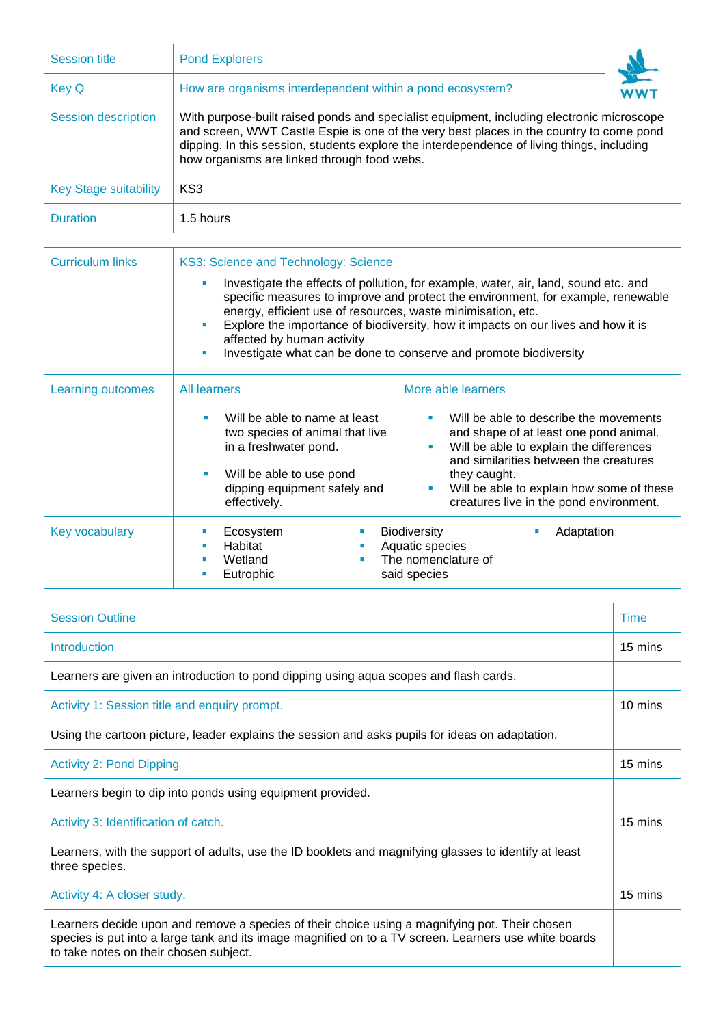| <b>Session title</b>         | <b>Pond Explorers</b>                                                                                                                                                                                                                                                                                                             |            |  |  |  |
|------------------------------|-----------------------------------------------------------------------------------------------------------------------------------------------------------------------------------------------------------------------------------------------------------------------------------------------------------------------------------|------------|--|--|--|
| <b>Key Q</b>                 | How are organisms interdependent within a pond ecosystem?                                                                                                                                                                                                                                                                         | <b>WWT</b> |  |  |  |
| <b>Session description</b>   | With purpose-built raised ponds and specialist equipment, including electronic microscope<br>and screen, WWT Castle Espie is one of the very best places in the country to come pond<br>dipping. In this session, students explore the interdependence of living things, including<br>how organisms are linked through food webs. |            |  |  |  |
| <b>Key Stage suitability</b> | KS3                                                                                                                                                                                                                                                                                                                               |            |  |  |  |
| <b>Duration</b>              | 1.5 hours                                                                                                                                                                                                                                                                                                                         |            |  |  |  |

| <b>Curriculum links</b> | KS3: Science and Technology: Science<br>Investigate the effects of pollution, for example, water, air, land, sound etc. and<br>specific measures to improve and protect the environment, for example, renewable<br>energy, efficient use of resources, waste minimisation, etc.<br>Explore the importance of biodiversity, how it impacts on our lives and how it is<br>affected by human activity<br>Investigate what can be done to conserve and promote biodiversity |   |                                                                                                                                                                                                                                                                                                                        |            |  |
|-------------------------|-------------------------------------------------------------------------------------------------------------------------------------------------------------------------------------------------------------------------------------------------------------------------------------------------------------------------------------------------------------------------------------------------------------------------------------------------------------------------|---|------------------------------------------------------------------------------------------------------------------------------------------------------------------------------------------------------------------------------------------------------------------------------------------------------------------------|------------|--|
|                         |                                                                                                                                                                                                                                                                                                                                                                                                                                                                         |   |                                                                                                                                                                                                                                                                                                                        |            |  |
| Learning outcomes       | <b>All learners</b><br>Will be able to name at least<br>two species of animal that live<br>in a freshwater pond.<br>Will be able to use pond<br>dipping equipment safely and<br>effectively.                                                                                                                                                                                                                                                                            |   | More able learners                                                                                                                                                                                                                                                                                                     |            |  |
|                         |                                                                                                                                                                                                                                                                                                                                                                                                                                                                         |   | Will be able to describe the movements<br>٠<br>and shape of at least one pond animal.<br>Will be able to explain the differences<br>$\blacksquare$<br>and similarities between the creatures<br>they caught.<br>Will be able to explain how some of these<br>$\blacksquare$<br>creatures live in the pond environment. |            |  |
| Key vocabulary          | Ecosystem<br>Habitat<br>Wetland<br>Eutrophic                                                                                                                                                                                                                                                                                                                                                                                                                            | ٠ | <b>Biodiversity</b><br>Aquatic species<br>The nomenclature of<br>said species                                                                                                                                                                                                                                          | Adaptation |  |

| <b>Session Outline</b>                                                                                                                                                                                                                            |         |  |  |
|---------------------------------------------------------------------------------------------------------------------------------------------------------------------------------------------------------------------------------------------------|---------|--|--|
| <b>Introduction</b>                                                                                                                                                                                                                               |         |  |  |
| Learners are given an introduction to pond dipping using aqua scopes and flash cards.                                                                                                                                                             |         |  |  |
| Activity 1: Session title and enquiry prompt.                                                                                                                                                                                                     |         |  |  |
| Using the cartoon picture, leader explains the session and asks pupils for ideas on adaptation.                                                                                                                                                   |         |  |  |
| <b>Activity 2: Pond Dipping</b>                                                                                                                                                                                                                   |         |  |  |
| Learners begin to dip into ponds using equipment provided.                                                                                                                                                                                        |         |  |  |
| Activity 3: Identification of catch.                                                                                                                                                                                                              |         |  |  |
| Learners, with the support of adults, use the ID booklets and magnifying glasses to identify at least<br>three species.                                                                                                                           |         |  |  |
| Activity 4: A closer study.                                                                                                                                                                                                                       | 15 mins |  |  |
| Learners decide upon and remove a species of their choice using a magnifying pot. Their chosen<br>species is put into a large tank and its image magnified on to a TV screen. Learners use white boards<br>to take notes on their chosen subject. |         |  |  |